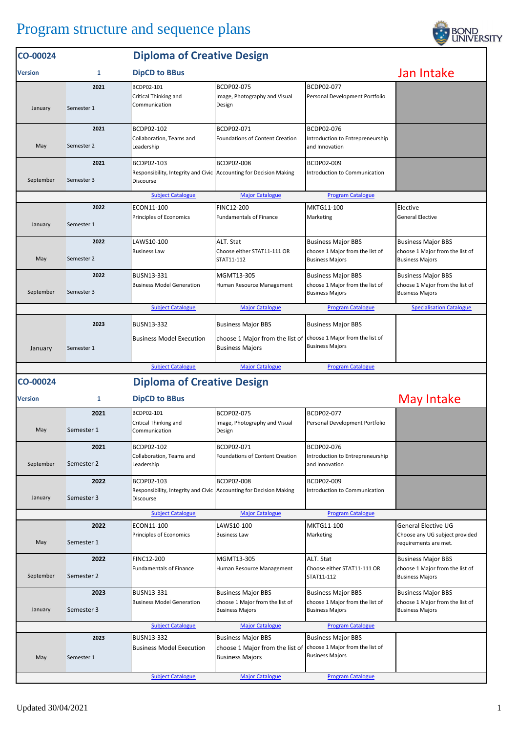## Program structure and sequence plans



| CO-00024       |                    | <b>Diploma of Creative Design</b>                                                                    |                                                                                        |                                                                                        |                                                                                        |
|----------------|--------------------|------------------------------------------------------------------------------------------------------|----------------------------------------------------------------------------------------|----------------------------------------------------------------------------------------|----------------------------------------------------------------------------------------|
| <b>Version</b> | 1                  | Jan Intake                                                                                           |                                                                                        |                                                                                        |                                                                                        |
| January        | 2021<br>Semester 1 | BCDP02-101<br>Critical Thinking and<br>Communication                                                 | BCDP02-075<br>Image, Photography and Visual<br>Design                                  | BCDP02-077<br>Personal Development Portfolio                                           |                                                                                        |
| May            | 2021<br>Semester 2 | BCDP02-102<br>Collaboration, Teams and<br>Leadership                                                 | BCDP02-071<br>Foundations of Content Creation                                          | BCDP02-076<br>Introduction to Entrepreneurship<br>and Innovation                       |                                                                                        |
| September      | 2021<br>Semester 3 | BCDP02-103<br>Responsibility, Integrity and Civic Accounting for Decision Making<br>Discourse        | BCDP02-008                                                                             | BCDP02-009<br>Introduction to Communication                                            |                                                                                        |
|                |                    | <b>Subject Catalogue</b>                                                                             | <b>Major Catalogue</b>                                                                 | <b>Program Catalogue</b>                                                               |                                                                                        |
| January        | 2022<br>Semester 1 | ECON11-100<br>Principles of Economics                                                                | FINC12-200<br><b>Fundamentals of Finance</b>                                           | MKTG11-100<br>Marketing                                                                | Elective<br><b>General Elective</b>                                                    |
| May            | 2022<br>Semester 2 | LAWS10-100<br><b>Business Law</b>                                                                    | ALT. Stat<br>Choose either STAT11-111 OR<br>STAT11-112                                 | <b>Business Major BBS</b><br>choose 1 Major from the list of<br><b>Business Majors</b> | <b>Business Major BBS</b><br>choose 1 Major from the list of<br><b>Business Majors</b> |
| September      | 2022<br>Semester 3 | BUSN13-331<br><b>Business Model Generation</b>                                                       | MGMT13-305<br>Human Resource Management                                                | <b>Business Major BBS</b><br>choose 1 Major from the list of<br><b>Business Majors</b> | <b>Business Major BBS</b><br>choose 1 Major from the list of<br><b>Business Majors</b> |
|                |                    | <b>Subject Catalogue</b>                                                                             | <b>Major Catalogue</b>                                                                 | <b>Program Catalogue</b>                                                               | <b>Specialisation Catalogue</b>                                                        |
| January        | 2023<br>Semester 1 | <b>BUSN13-332</b><br><b>Business Model Execution</b>                                                 | <b>Business Major BBS</b><br>choose 1 Major from the list of<br><b>Business Majors</b> | <b>Business Major BBS</b><br>choose 1 Major from the list of<br><b>Business Majors</b> |                                                                                        |
|                |                    | <b>Subject Catalogue</b>                                                                             | <b>Major Catalogue</b>                                                                 | <b>Program Catalogue</b>                                                               |                                                                                        |
| CO-00024       |                    | <b>Diploma of Creative Design</b>                                                                    |                                                                                        |                                                                                        |                                                                                        |
| <b>Version</b> | 1                  | <b>DipCD to BBus</b>                                                                                 |                                                                                        |                                                                                        | May Intake                                                                             |
|                | 2021               | BCDP02-101                                                                                           | BCDP02-075                                                                             | BCDP02-077                                                                             |                                                                                        |
| May            | Semester 1         | Critical Thinking and<br>Communication                                                               | Image, Photography and Visual<br>Design                                                | Personal Development Portfolio                                                         |                                                                                        |
| September      | 2021<br>Semester 2 | BCDP02-102<br>Collaboration, Teams and<br>Leadership                                                 | BCDP02-071<br><b>Foundations of Content Creation</b>                                   | BCDP02-076<br>Introduction to Entrepreneurship<br>and Innovation                       |                                                                                        |
| January        | 2022<br>Semester 3 | BCDP02-103<br>Responsibility, Integrity and Civic Accounting for Decision Making<br><b>Discourse</b> | <b>BCDP02-008</b>                                                                      | BCDP02-009<br>Introduction to Communication                                            |                                                                                        |
|                |                    | <b>Subject Catalogue</b>                                                                             | <b>Major Catalogue</b>                                                                 | <b>Program Catalogue</b>                                                               |                                                                                        |
| May            | 2022<br>Semester 1 | ECON11-100<br>Principles of Economics                                                                | LAWS10-100<br><b>Business Law</b>                                                      | MKTG11-100<br>Marketing                                                                | <b>General Elective UG</b><br>Choose any UG subject provided<br>requirements are met.  |
| September      | 2022<br>Semester 2 | <b>FINC12-200</b><br><b>Fundamentals of Finance</b>                                                  | MGMT13-305<br>Human Resource Management                                                | ALT. Stat<br>Choose either STAT11-111 OR<br>STAT11-112                                 | <b>Business Major BBS</b><br>choose 1 Major from the list of<br><b>Business Majors</b> |
| January        | 2023<br>Semester 3 | BUSN13-331<br><b>Business Model Generation</b>                                                       | <b>Business Major BBS</b><br>choose 1 Major from the list of<br><b>Business Majors</b> | <b>Business Major BBS</b><br>choose 1 Major from the list of<br><b>Business Majors</b> | <b>Business Major BBS</b><br>choose 1 Major from the list of<br><b>Business Majors</b> |
|                |                    | <b>Subject Catalogue</b>                                                                             | <b>Major Catalogue</b>                                                                 | <b>Program Catalogue</b>                                                               |                                                                                        |
| May            | 2023<br>Semester 1 | BUSN13-332<br><b>Business Model Execution</b>                                                        | <b>Business Major BBS</b><br>choose 1 Major from the list of<br><b>Business Majors</b> | <b>Business Major BBS</b><br>choose 1 Major from the list of<br><b>Business Majors</b> |                                                                                        |
|                |                    | <b>Subject Catalogue</b>                                                                             | <b>Major Catalogue</b>                                                                 | <b>Program Catalogue</b>                                                               |                                                                                        |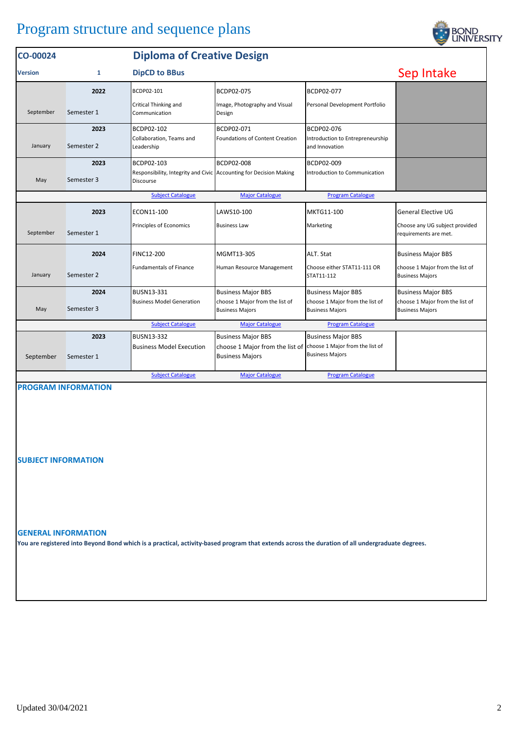| CO-00024                                                                       |            | <b>Diploma of Creative Design</b>                                               |                                                                                           |                                                           |                                                           |  |  |
|--------------------------------------------------------------------------------|------------|---------------------------------------------------------------------------------|-------------------------------------------------------------------------------------------|-----------------------------------------------------------|-----------------------------------------------------------|--|--|
| <b>Version</b>                                                                 | 1          | <b>DipCD to BBus</b>                                                            | Sep Intake                                                                                |                                                           |                                                           |  |  |
|                                                                                | 2022       | BCDP02-101                                                                      | BCDP02-075                                                                                | BCDP02-077                                                |                                                           |  |  |
| September                                                                      | Semester 1 | Critical Thinking and<br>Communication                                          | Image, Photography and Visual<br>Design                                                   | Personal Development Portfolio                            |                                                           |  |  |
|                                                                                | 2023       | BCDP02-102                                                                      | BCDP02-071                                                                                | BCDP02-076                                                |                                                           |  |  |
| January                                                                        | Semester 2 | Collaboration, Teams and<br>Leadership                                          | <b>Foundations of Content Creation</b>                                                    | Introduction to Entrepreneurship<br>and Innovation        |                                                           |  |  |
|                                                                                | 2023       | BCDP02-103                                                                      | BCDP02-008                                                                                | BCDP02-009                                                |                                                           |  |  |
| May                                                                            | Semester 3 | Responsibility, Integrity and Civic Accounting for Decision Making<br>Discourse |                                                                                           | Introduction to Communication                             |                                                           |  |  |
| <b>Subject Catalogue</b><br><b>Major Catalogue</b><br><b>Program Catalogue</b> |            |                                                                                 |                                                                                           |                                                           |                                                           |  |  |
|                                                                                | 2023       | ECON11-100                                                                      | LAWS10-100                                                                                | MKTG11-100                                                | <b>General Elective UG</b>                                |  |  |
| September                                                                      | Semester 1 | Principles of Economics                                                         | <b>Business Law</b>                                                                       | Marketing                                                 | Choose any UG subject provided<br>requirements are met.   |  |  |
|                                                                                | 2024       | <b>FINC12-200</b>                                                               | MGMT13-305                                                                                | ALT. Stat                                                 | <b>Business Major BBS</b>                                 |  |  |
| January                                                                        | Semester 2 | <b>Fundamentals of Finance</b>                                                  | Human Resource Management                                                                 | Choose either STAT11-111 OR<br>STAT11-112                 | choose 1 Major from the list of<br><b>Business Majors</b> |  |  |
|                                                                                | 2024       | BUSN13-331                                                                      | <b>Business Major BBS</b>                                                                 | <b>Business Major BBS</b>                                 | <b>Business Major BBS</b>                                 |  |  |
| May                                                                            | Semester 3 | <b>Business Model Generation</b>                                                | choose 1 Major from the list of<br><b>Business Majors</b>                                 | choose 1 Major from the list of<br><b>Business Majors</b> | choose 1 Major from the list of<br><b>Business Majors</b> |  |  |
| <b>Subject Catalogue</b><br><b>Major Catalogue</b><br><b>Program Catalogue</b> |            |                                                                                 |                                                                                           |                                                           |                                                           |  |  |
|                                                                                | 2023       | <b>BUSN13-332</b>                                                               | <b>Business Major BBS</b>                                                                 | <b>Business Major BBS</b>                                 |                                                           |  |  |
| September                                                                      | Semester 1 | <b>Business Model Execution</b>                                                 | choose 1 Major from the list of choose 1 Major from the list of<br><b>Business Majors</b> | <b>Business Majors</b>                                    |                                                           |  |  |
|                                                                                |            | <b>Subject Catalogue</b>                                                        | <b>Major Catalogue</b>                                                                    | <b>Program Catalogue</b>                                  |                                                           |  |  |

**PROGRAM INFORMATION**

**SUBJECT INFORMATION**

**GENERAL INFORMATION**

**You are registered into Beyond Bond which is a practical, activity-based program that extends across the duration of all undergraduate degrees.**